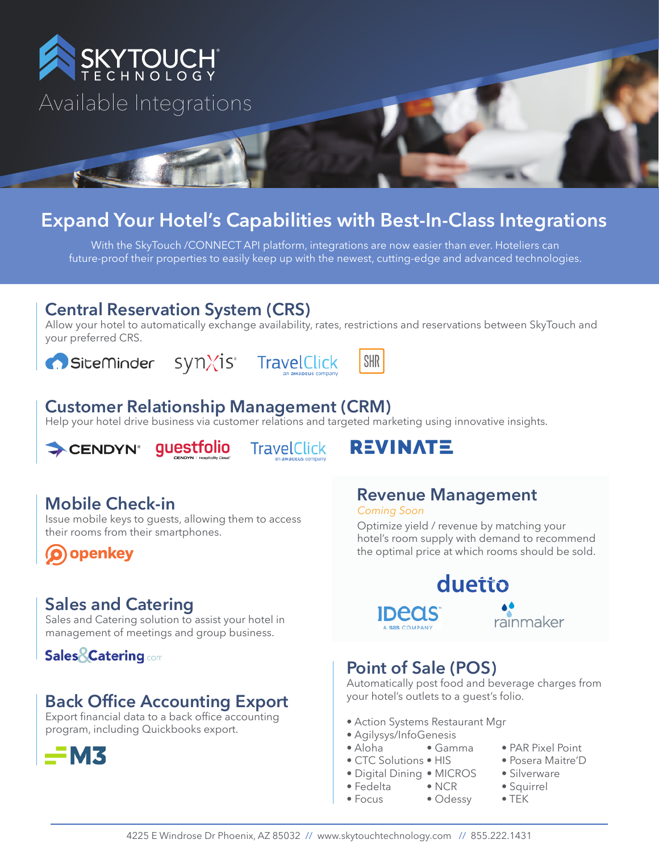

# **Expand Your Hotel's Capabilities with Best-In-Class Integrations**

With the SkyTouch /CONNECT API platform, integrations are now easier than ever. Hoteliers can future-proof their properties to easily keep up with the newest, cutting-edge and advanced technologies.

#### **Central Reservation System (CRS)**

Allow your hotel to automatically exchange availability, rates, restrictions and reservations between SkyTouch and your preferred CRS.

# Siteminder synXis TravelClick



# **SHR**

#### **Customer Relationship Management (CRM)**

Help your hotel drive business via customer relations and targeted marketing using innovative insights.



**TravelClick** 



### **Mobile Check-in**

Issue mobile keys to guests, allowing them to access their rooms from their smartphones.

O openkey

#### **Sales and Catering**

Sales and Catering solution to assist your hotel in management of meetings and group business.

#### **Sales & Catering com**

#### **Back Office Accounting Export**

Export financial data to a back office accounting program, including Quickbooks export.



# **Revenue Management**

*Coming Soon*

Optimize yield / revenue by matching your hotel's room supply with demand to recommend the optimal price at which rooms should be sold.

#### duetto **IDECIS** rainmaker

### **Point of Sale (POS)**

Automatically post food and beverage charges from your hotel's outlets to a guest's folio.

- Action Systems Restaurant Mgr
- Agilysys/InfoGenesis
- Aloha Gamma PAR Pixel Point
- CTC Solutions HIS Posera Maitre'D
- Digital Dining MICROS Silverware
- Fedelta NCR Squirrel
- Focus Odessy TEK
- 
- 
- 
- -